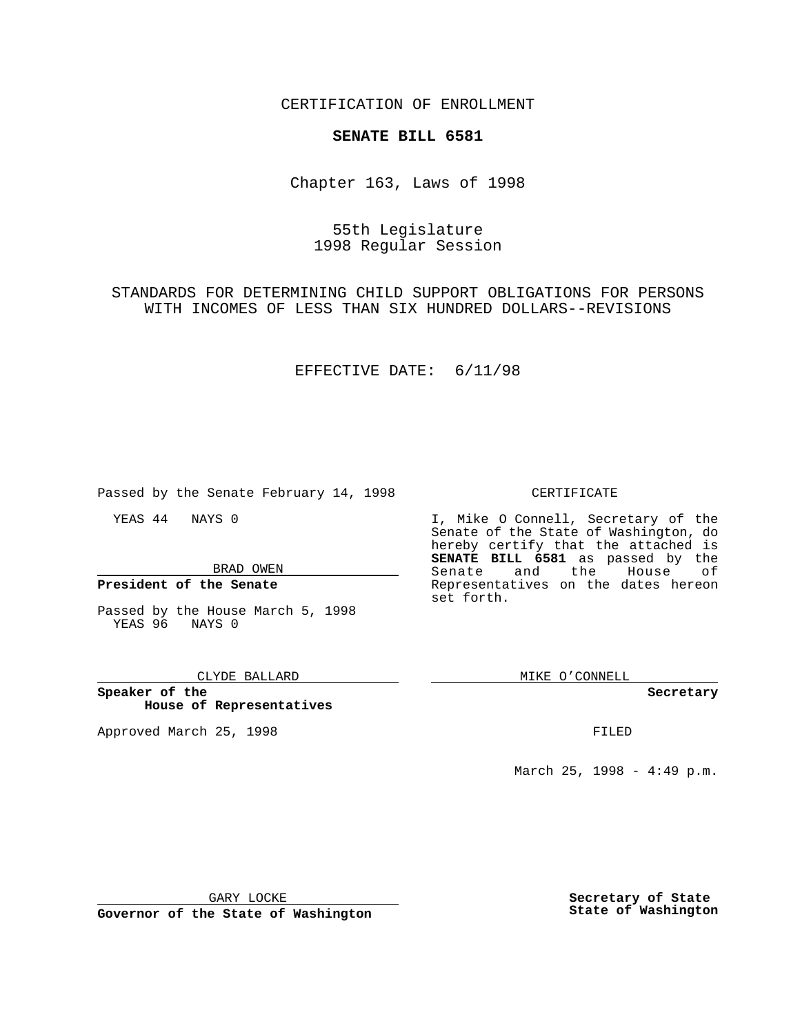CERTIFICATION OF ENROLLMENT

# **SENATE BILL 6581**

Chapter 163, Laws of 1998

# 55th Legislature 1998 Regular Session

STANDARDS FOR DETERMINING CHILD SUPPORT OBLIGATIONS FOR PERSONS WITH INCOMES OF LESS THAN SIX HUNDRED DOLLARS--REVISIONS

### EFFECTIVE DATE: 6/11/98

Passed by the Senate February 14, 1998

YEAS 44 NAYS 0

BRAD OWEN

**President of the Senate**

Passed by the House March 5, 1998 YEAS 96 NAYS 0

#### CLYDE BALLARD

**Speaker of the House of Representatives**

Approved March 25, 1998 **FILED** 

#### CERTIFICATE

I, Mike O Connell, Secretary of the Senate of the State of Washington, do hereby certify that the attached is **SENATE BILL 6581** as passed by the Senate and the House of Representatives on the dates hereon set forth.

MIKE O'CONNELL

#### **Secretary**

March 25, 1998 - 4:49 p.m.

GARY LOCKE

**Governor of the State of Washington**

**Secretary of State State of Washington**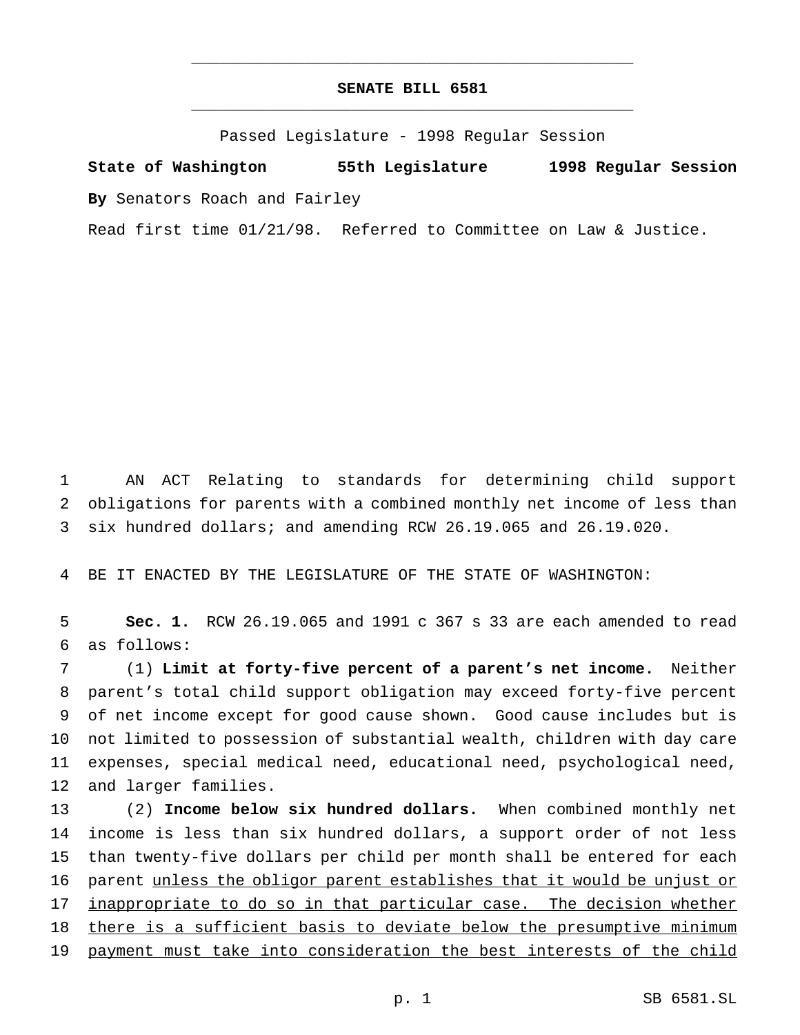# **SENATE BILL 6581** \_\_\_\_\_\_\_\_\_\_\_\_\_\_\_\_\_\_\_\_\_\_\_\_\_\_\_\_\_\_\_\_\_\_\_\_\_\_\_\_\_\_\_\_\_\_\_

\_\_\_\_\_\_\_\_\_\_\_\_\_\_\_\_\_\_\_\_\_\_\_\_\_\_\_\_\_\_\_\_\_\_\_\_\_\_\_\_\_\_\_\_\_\_\_

Passed Legislature - 1998 Regular Session

**State of Washington 55th Legislature 1998 Regular Session By** Senators Roach and Fairley

Read first time 01/21/98. Referred to Committee on Law & Justice.

1 AN ACT Relating to standards for determining child support 2 obligations for parents with a combined monthly net income of less than 3 six hundred dollars; and amending RCW 26.19.065 and 26.19.020.

4 BE IT ENACTED BY THE LEGISLATURE OF THE STATE OF WASHINGTON:

5 **Sec. 1.** RCW 26.19.065 and 1991 c 367 s 33 are each amended to read 6 as follows:

 (1) **Limit at forty-five percent of a parent's net income.** Neither parent's total child support obligation may exceed forty-five percent of net income except for good cause shown. Good cause includes but is not limited to possession of substantial wealth, children with day care expenses, special medical need, educational need, psychological need, and larger families.

13 (2) **Income below six hundred dollars.** When combined monthly net 14 income is less than six hundred dollars, a support order of not less 15 than twenty-five dollars per child per month shall be entered for each 16 parent unless the obligor parent establishes that it would be unjust or 17 inappropriate to do so in that particular case. The decision whether 18 there is a sufficient basis to deviate below the presumptive minimum 19 payment must take into consideration the best interests of the child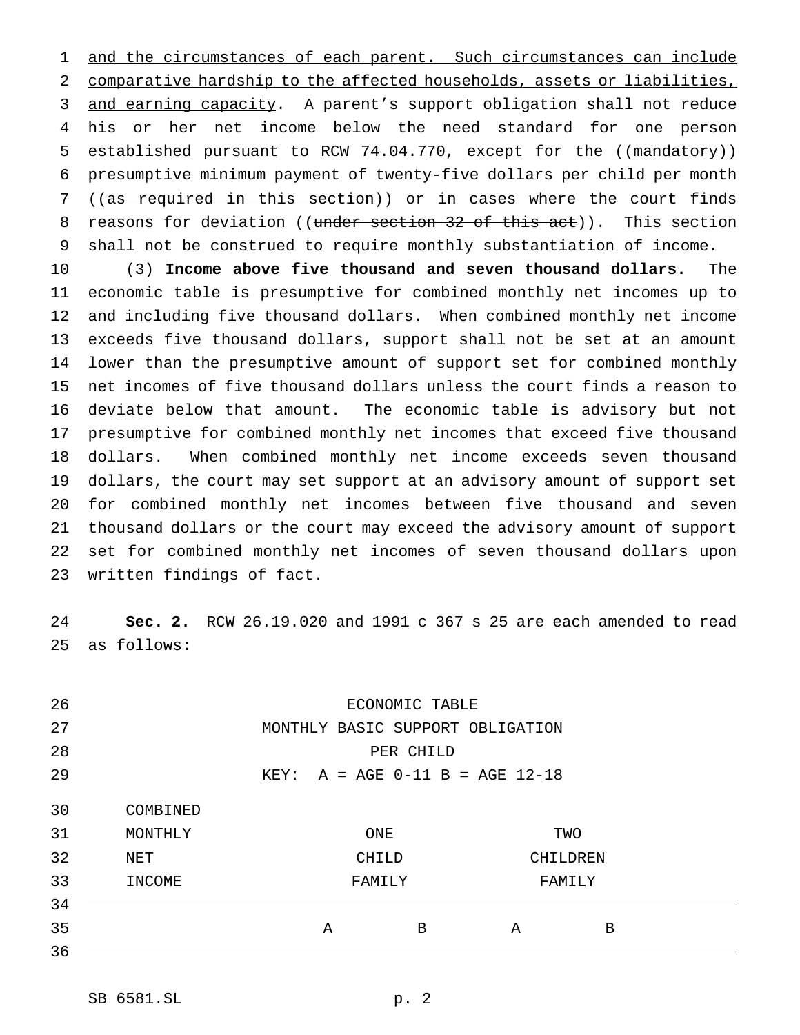1 and the circumstances of each parent. Such circumstances can include comparative hardship to the affected households, assets or liabilities, and earning capacity. A parent's support obligation shall not reduce his or her net income below the need standard for one person 5 established pursuant to RCW 74.04.770, except for the ((mandatory)) presumptive minimum payment of twenty-five dollars per child per month 7 ((as required in this section)) or in cases where the court finds 8 reasons for deviation ((under section 32 of this act)). This section shall not be construed to require monthly substantiation of income.

 (3) **Income above five thousand and seven thousand dollars.** The economic table is presumptive for combined monthly net incomes up to and including five thousand dollars. When combined monthly net income exceeds five thousand dollars, support shall not be set at an amount lower than the presumptive amount of support set for combined monthly net incomes of five thousand dollars unless the court finds a reason to deviate below that amount. The economic table is advisory but not presumptive for combined monthly net incomes that exceed five thousand dollars. When combined monthly net income exceeds seven thousand dollars, the court may set support at an advisory amount of support set for combined monthly net incomes between five thousand and seven thousand dollars or the court may exceed the advisory amount of support set for combined monthly net incomes of seven thousand dollars upon written findings of fact.

 **Sec. 2.** RCW 26.19.020 and 1991 c 367 s 25 are each amended to read as follows:

| 26 |                                   |                                  | ECONOMIC TABLE |          |     |  |  |  |
|----|-----------------------------------|----------------------------------|----------------|----------|-----|--|--|--|
| 27 |                                   | MONTHLY BASIC SUPPORT OBLIGATION |                |          |     |  |  |  |
| 28 | PER CHILD                         |                                  |                |          |     |  |  |  |
| 29 | $KEY: A = AGE 0-11 B = AGE 12-18$ |                                  |                |          |     |  |  |  |
| 30 | COMBINED                          |                                  |                |          |     |  |  |  |
| 31 | MONTHLY                           |                                  | ONE            |          | TWO |  |  |  |
| 32 | NET                               |                                  | CHILD          | CHILDREN |     |  |  |  |
| 33 | INCOME                            |                                  | FAMILY         | FAMILY   |     |  |  |  |
| 34 |                                   |                                  |                |          |     |  |  |  |
| 35 |                                   | Α                                | B              | A        | B   |  |  |  |
| 36 |                                   |                                  |                |          |     |  |  |  |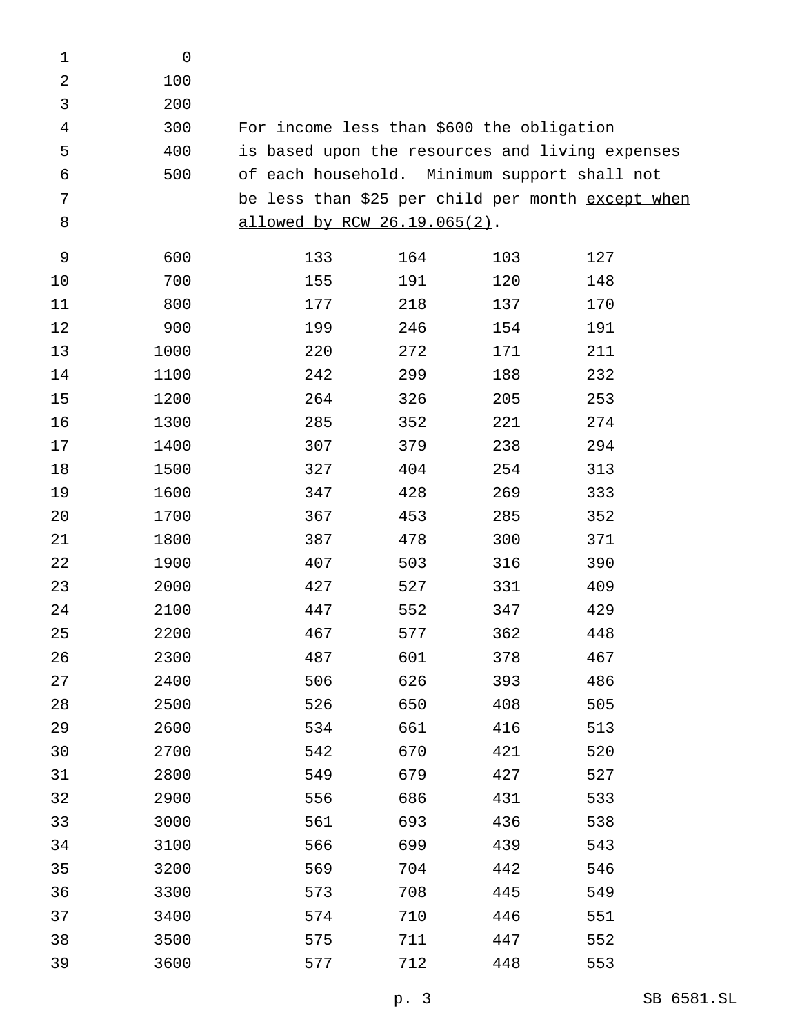| $\mathbf 1$    | $\mathsf{O}\xspace$ |     |                              |                                              |                                                   |
|----------------|---------------------|-----|------------------------------|----------------------------------------------|---------------------------------------------------|
| $\overline{2}$ | 100                 |     |                              |                                              |                                                   |
| 3              | 200                 |     |                              |                                              |                                                   |
| 4              | 300                 |     |                              | For income less than \$600 the obligation    |                                                   |
| 5              | 400                 |     |                              |                                              | is based upon the resources and living expenses   |
| 6              | 500                 |     |                              | of each household. Minimum support shall not |                                                   |
| 7              |                     |     |                              |                                              | be less than \$25 per child per month except when |
| 8              |                     |     | allowed by RCW 26.19.065(2). |                                              |                                                   |
| 9              | 600                 | 133 | 164                          | 103                                          | 127                                               |
| 10             | 700                 | 155 | 191                          | 120                                          | 148                                               |
| 11             | 800                 | 177 | 218                          | 137                                          | 170                                               |
| 12             | 900                 | 199 | 246                          | 154                                          | 191                                               |
| 13             | 1000                | 220 | 272                          | 171                                          | 211                                               |
| 14             | 1100                | 242 | 299                          | 188                                          | 232                                               |
| 15             | 1200                | 264 | 326                          | 205                                          | 253                                               |
| 16             | 1300                | 285 | 352                          | 221                                          | 274                                               |
| 17             | 1400                | 307 | 379                          | 238                                          | 294                                               |
| 18             | 1500                | 327 | 404                          | 254                                          | 313                                               |
| 19             | 1600                | 347 | 428                          | 269                                          | 333                                               |
| 20             | 1700                | 367 | 453                          | 285                                          | 352                                               |
| 21             | 1800                | 387 | 478                          | 300                                          | 371                                               |
| 22             | 1900                | 407 | 503                          | 316                                          | 390                                               |
| 23             | 2000                | 427 | 527                          | 331                                          | 409                                               |
| 24             | 2100                | 447 | 552                          | 347                                          | 429                                               |
| 25             | 2200                | 467 | 577                          | 362                                          | 448                                               |
| 26             | 2300                | 487 | 601                          | 378                                          | 467                                               |
| 27             | 2400                | 506 | 626                          | 393                                          | 486                                               |
| 28             | 2500                | 526 | 650                          | 408                                          | 505                                               |
| 29             | 2600                | 534 | 661                          | 416                                          | 513                                               |
| 30             | 2700                | 542 | 670                          | 421                                          | 520                                               |
| 31             | 2800                | 549 | 679                          | 427                                          | 527                                               |
| 32             | 2900                | 556 | 686                          | 431                                          | 533                                               |
| 33             | 3000                | 561 | 693                          | 436                                          | 538                                               |
| 34             | 3100                | 566 | 699                          | 439                                          | 543                                               |
| 35             | 3200                | 569 | 704                          | 442                                          | 546                                               |
| 36             | 3300                | 573 | 708                          | 445                                          | 549                                               |
| 37             | 3400                | 574 | 710                          | 446                                          | 551                                               |
| 38             | 3500                | 575 | 711                          | 447                                          | 552                                               |
| 39             | 3600                | 577 | 712                          | 448                                          | 553                                               |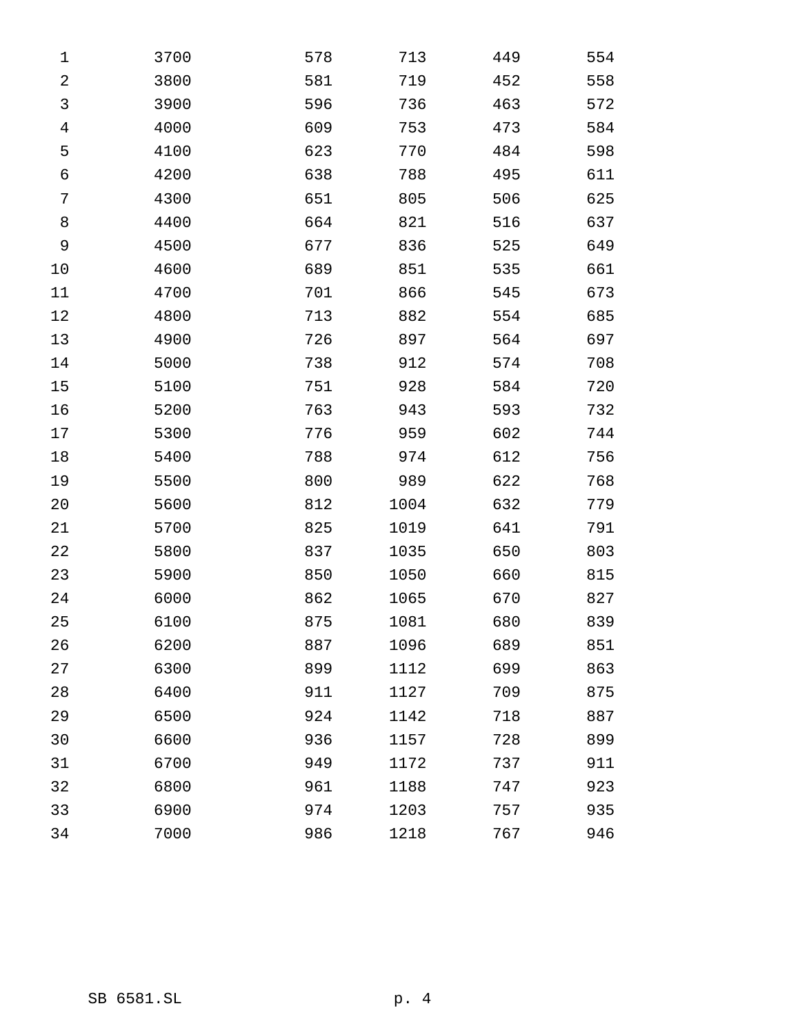| $\mathbf 1$ | 3700 | 578 | 713  | 449 | 554 |
|-------------|------|-----|------|-----|-----|
| $\sqrt{2}$  | 3800 | 581 | 719  | 452 | 558 |
| 3           | 3900 | 596 | 736  | 463 | 572 |
| 4           | 4000 | 609 | 753  | 473 | 584 |
| 5           | 4100 | 623 | 770  | 484 | 598 |
| 6           | 4200 | 638 | 788  | 495 | 611 |
| 7           | 4300 | 651 | 805  | 506 | 625 |
| 8           | 4400 | 664 | 821  | 516 | 637 |
| 9           | 4500 | 677 | 836  | 525 | 649 |
| 10          | 4600 | 689 | 851  | 535 | 661 |
| 11          | 4700 | 701 | 866  | 545 | 673 |
| 12          | 4800 | 713 | 882  | 554 | 685 |
| 13          | 4900 | 726 | 897  | 564 | 697 |
| 14          | 5000 | 738 | 912  | 574 | 708 |
| 15          | 5100 | 751 | 928  | 584 | 720 |
| 16          | 5200 | 763 | 943  | 593 | 732 |
| 17          | 5300 | 776 | 959  | 602 | 744 |
| 18          | 5400 | 788 | 974  | 612 | 756 |
| 19          | 5500 | 800 | 989  | 622 | 768 |
| 20          | 5600 | 812 | 1004 | 632 | 779 |
| 21          | 5700 | 825 | 1019 | 641 | 791 |
| 22          | 5800 | 837 | 1035 | 650 | 803 |
| 23          | 5900 | 850 | 1050 | 660 | 815 |
| 24          | 6000 | 862 | 1065 | 670 | 827 |
| 25          | 6100 | 875 | 1081 | 680 | 839 |
| 26          | 6200 | 887 | 1096 | 689 | 851 |
| 27          | 6300 | 899 | 1112 | 699 | 863 |
| 28          | 6400 | 911 | 1127 | 709 | 875 |
| 29          | 6500 | 924 | 1142 | 718 | 887 |
| 30          | 6600 | 936 | 1157 | 728 | 899 |
| 31          | 6700 | 949 | 1172 | 737 | 911 |
| 32          | 6800 | 961 | 1188 | 747 | 923 |
| 33          | 6900 | 974 | 1203 | 757 | 935 |
| 34          | 7000 | 986 | 1218 | 767 | 946 |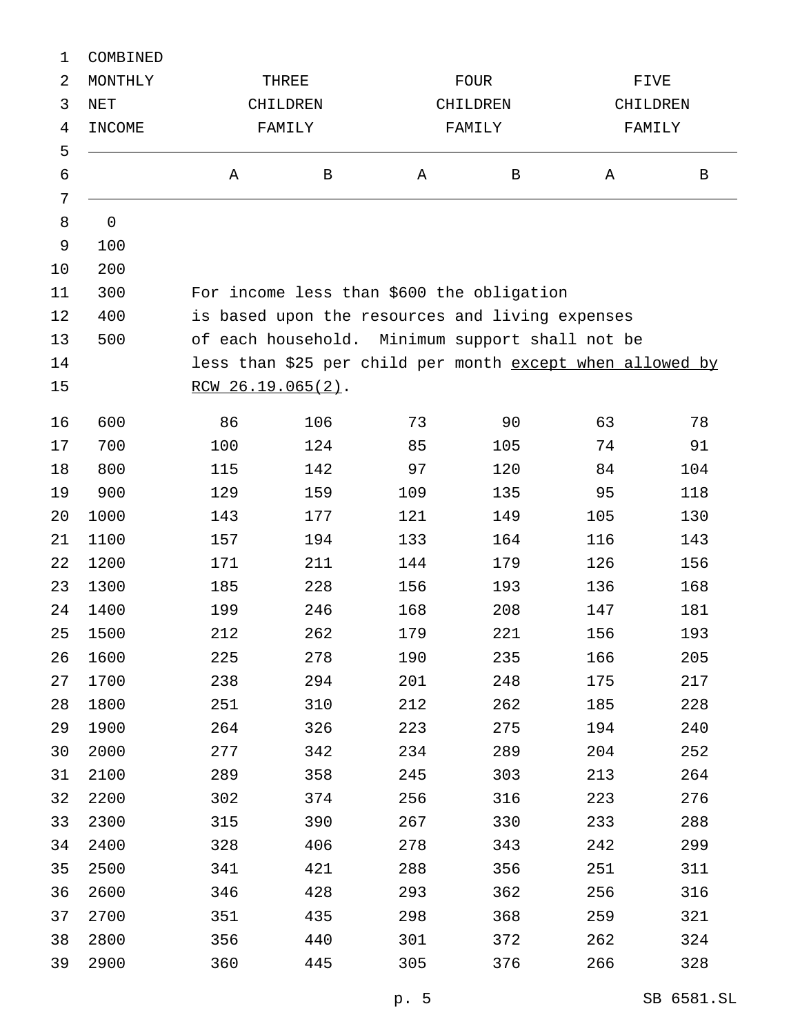| COMBINED    |                   |              |                      |              |                            |                                                                                                                                                                                                              |  |  |
|-------------|-------------------|--------------|----------------------|--------------|----------------------------|--------------------------------------------------------------------------------------------------------------------------------------------------------------------------------------------------------------|--|--|
| MONTHLY     | THREE<br>CHILDREN |              |                      |              |                            | FIVE<br>CHILDREN                                                                                                                                                                                             |  |  |
| NET         |                   |              |                      |              |                            |                                                                                                                                                                                                              |  |  |
| INCOME      | FAMILY            |              |                      |              |                            | FAMILY                                                                                                                                                                                                       |  |  |
|             |                   |              |                      |              |                            |                                                                                                                                                                                                              |  |  |
|             | Α                 | $\, {\bf B}$ | Α                    | $\, {\bf B}$ | Α                          | $\, {\bf B}$                                                                                                                                                                                                 |  |  |
|             |                   |              |                      |              |                            |                                                                                                                                                                                                              |  |  |
| $\mathsf 0$ |                   |              |                      |              |                            |                                                                                                                                                                                                              |  |  |
| 100         |                   |              |                      |              |                            |                                                                                                                                                                                                              |  |  |
| 200         |                   |              |                      |              |                            |                                                                                                                                                                                                              |  |  |
| 300         |                   |              |                      |              |                            |                                                                                                                                                                                                              |  |  |
| 400         |                   |              |                      |              |                            |                                                                                                                                                                                                              |  |  |
| 500         |                   |              |                      |              |                            |                                                                                                                                                                                                              |  |  |
|             |                   |              |                      |              |                            |                                                                                                                                                                                                              |  |  |
|             |                   |              |                      |              |                            |                                                                                                                                                                                                              |  |  |
| 600         | 86                | 106          | 73                   | 90           | 63                         | 78                                                                                                                                                                                                           |  |  |
| 700         | 100               | 124          | 85                   | 105          | 74                         | 91                                                                                                                                                                                                           |  |  |
| 800         | 115               | 142          | 97                   | 120          | 84                         | 104                                                                                                                                                                                                          |  |  |
| 900         | 129               | 159          | 109                  | 135          | 95                         | 118                                                                                                                                                                                                          |  |  |
| 1000        | 143               | 177          | 121                  | 149          | 105                        | 130                                                                                                                                                                                                          |  |  |
| 1100        | 157               | 194          | 133                  | 164          | 116                        | 143                                                                                                                                                                                                          |  |  |
| 1200        | 171               | 211          | 144                  | 179          | 126                        | 156                                                                                                                                                                                                          |  |  |
| 1300        | 185               | 228          | 156                  | 193          | 136                        | 168                                                                                                                                                                                                          |  |  |
| 1400        | 199               | 246          | 168                  | 208          | 147                        | 181                                                                                                                                                                                                          |  |  |
| 1500        | 212               | 262          | 179                  | 221          | 156                        | 193                                                                                                                                                                                                          |  |  |
| 1600        | 225               | 278          | 190                  | 235          | 166                        | 205                                                                                                                                                                                                          |  |  |
| 1700        | 238               | 294          | 201                  | 248          | 175                        | 217                                                                                                                                                                                                          |  |  |
| 1800        | 251               | 310          | 212                  | 262          | 185                        | 228                                                                                                                                                                                                          |  |  |
| 1900        | 264               | 326          | 223                  | 275          | 194                        | 240                                                                                                                                                                                                          |  |  |
| 2000        | 277               | 342          | 234                  | 289          | 204                        | 252                                                                                                                                                                                                          |  |  |
| 2100        | 289               | 358          | 245                  | 303          | 213                        | 264                                                                                                                                                                                                          |  |  |
| 2200        | 302               | 374          | 256                  | 316          | 223                        | 276                                                                                                                                                                                                          |  |  |
| 2300        | 315               | 390          | 267                  | 330          | 233                        | 288                                                                                                                                                                                                          |  |  |
| 2400        | 328               | 406          | 278                  | 343          | 242                        | 299                                                                                                                                                                                                          |  |  |
| 2500        | 341               | 421          | 288                  | 356          | 251                        | 311                                                                                                                                                                                                          |  |  |
| 2600        | 346               | 428          | 293                  | 362          | 256                        | 316                                                                                                                                                                                                          |  |  |
| 2700        | 351               | 435          | 298                  | 368          | 259                        | 321                                                                                                                                                                                                          |  |  |
| 2800        | 356               | 440          | 301                  | 372          | 262                        | 324                                                                                                                                                                                                          |  |  |
| 2900        | 360               | 445          | 305                  | 376          | 266                        | 328                                                                                                                                                                                                          |  |  |
|             |                   |              | $RCW 26.19.065(2)$ . |              | FOUR<br>CHILDREN<br>FAMILY | For income less than \$600 the obligation<br>is based upon the resources and living expenses<br>of each household. Minimum support shall not be<br>less than \$25 per child per month except when allowed by |  |  |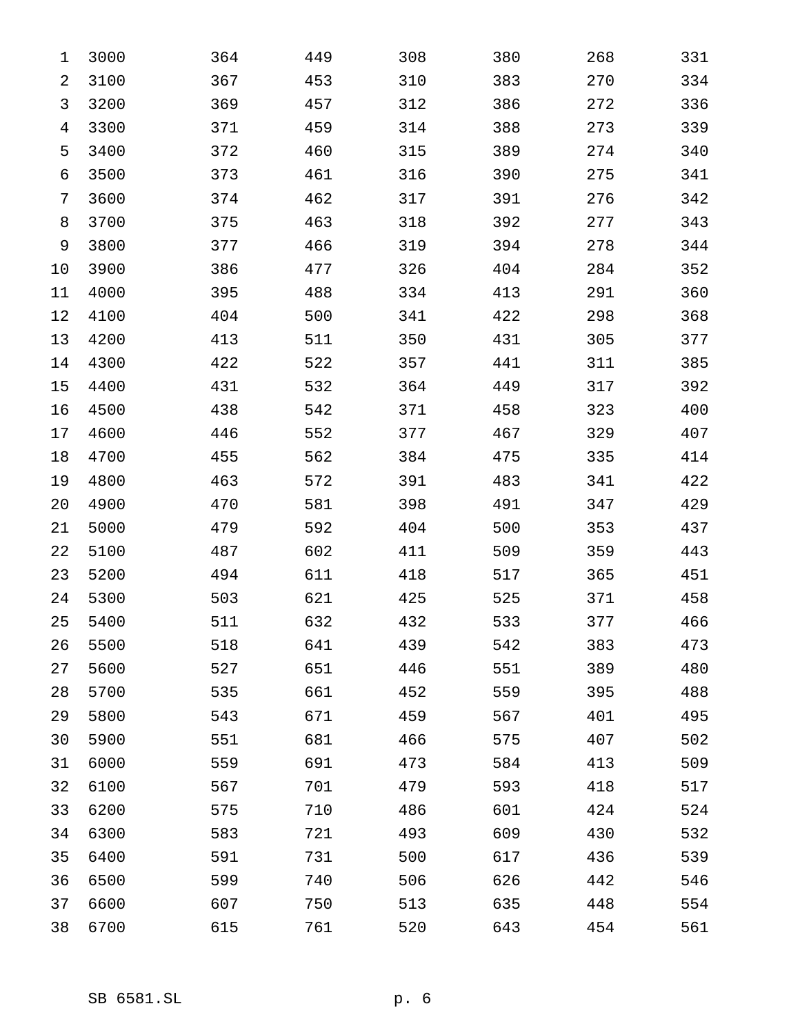| $\mathbf 1$    | 3000 | 364 | 449 | 308 | 380 | 268 | 331 |
|----------------|------|-----|-----|-----|-----|-----|-----|
| 2              | 3100 | 367 | 453 | 310 | 383 | 270 | 334 |
| 3              | 3200 | 369 | 457 | 312 | 386 | 272 | 336 |
| $\overline{4}$ | 3300 | 371 | 459 | 314 | 388 | 273 | 339 |
| 5              | 3400 | 372 | 460 | 315 | 389 | 274 | 340 |
| 6              | 3500 | 373 | 461 | 316 | 390 | 275 | 341 |
| 7              | 3600 | 374 | 462 | 317 | 391 | 276 | 342 |
| 8              | 3700 | 375 | 463 | 318 | 392 | 277 | 343 |
| 9              | 3800 | 377 | 466 | 319 | 394 | 278 | 344 |
| 10             | 3900 | 386 | 477 | 326 | 404 | 284 | 352 |
| 11             | 4000 | 395 | 488 | 334 | 413 | 291 | 360 |
| 12             | 4100 | 404 | 500 | 341 | 422 | 298 | 368 |
| 13             | 4200 | 413 | 511 | 350 | 431 | 305 | 377 |
| 14             | 4300 | 422 | 522 | 357 | 441 | 311 | 385 |
| 15             | 4400 | 431 | 532 | 364 | 449 | 317 | 392 |
| 16             | 4500 | 438 | 542 | 371 | 458 | 323 | 400 |
| 17             | 4600 | 446 | 552 | 377 | 467 | 329 | 407 |
| 18             | 4700 | 455 | 562 | 384 | 475 | 335 | 414 |
| 19             | 4800 | 463 | 572 | 391 | 483 | 341 | 422 |
| 20             | 4900 | 470 | 581 | 398 | 491 | 347 | 429 |
| 21             | 5000 | 479 | 592 | 404 | 500 | 353 | 437 |
| 22             | 5100 | 487 | 602 | 411 | 509 | 359 | 443 |
| 23             | 5200 | 494 | 611 | 418 | 517 | 365 | 451 |
| 24             | 5300 | 503 | 621 | 425 | 525 | 371 | 458 |
| 25             | 5400 | 511 | 632 | 432 | 533 | 377 | 466 |
| 26             | 5500 | 518 | 641 | 439 | 542 | 383 | 473 |
| 27             | 5600 | 527 | 651 | 446 | 551 | 389 | 480 |
| 28             | 5700 | 535 | 661 | 452 | 559 | 395 | 488 |
| 29             | 5800 | 543 | 671 | 459 | 567 | 401 | 495 |
| 30             | 5900 | 551 | 681 | 466 | 575 | 407 | 502 |
| 31             | 6000 | 559 | 691 | 473 | 584 | 413 | 509 |
| 32             | 6100 | 567 | 701 | 479 | 593 | 418 | 517 |
| 33             | 6200 | 575 | 710 | 486 | 601 | 424 | 524 |
| 34             | 6300 | 583 | 721 | 493 | 609 | 430 | 532 |
| 35             | 6400 | 591 | 731 | 500 | 617 | 436 | 539 |
| 36             | 6500 | 599 | 740 | 506 | 626 | 442 | 546 |
| 37             | 6600 | 607 | 750 | 513 | 635 | 448 | 554 |
| 38             | 6700 | 615 | 761 | 520 | 643 | 454 | 561 |